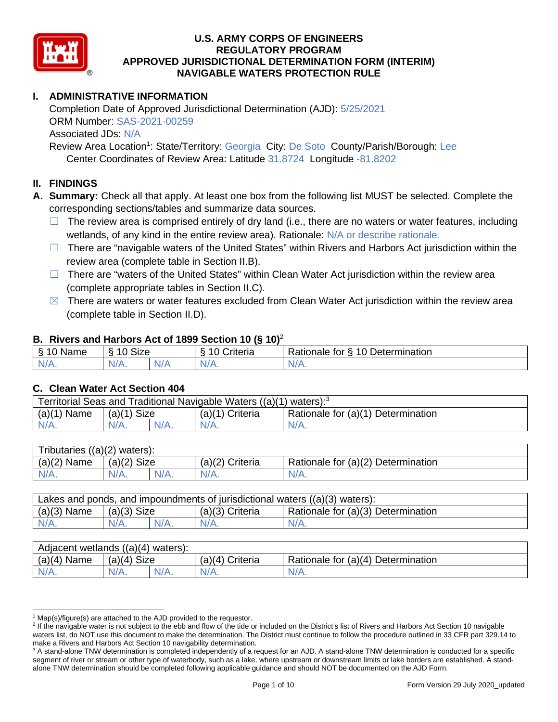

### **I. ADMINISTRATIVE INFORMATION**

 Completion Date of Approved Jurisdictional Determination (AJD): 5/25/2021 Associated JDs: N/A ORM Number: SAS-2021-00259

Review Area Location<sup>1</sup>: State/Territory: Georgia City: De Soto County/Parish/Borough: Lee Center Coordinates of Review Area: Latitude 31.8724 Longitude -81.8202

#### **II. FINDINGS**

 **A. Summary:** Check all that apply. At least one box from the following list MUST be selected. Complete the corresponding sections/tables and summarize data sources.

- □ The review area is comprised entirely of dry land (i.e., there are no waters or water features, including wetlands, of any kind in the entire review area). Rationale: N/A or describe rationale.
- □ There are "navigable waters of the United States" within Rivers and Harbors Act jurisdiction within the review area (complete table in Section II.B).
- □ There are "waters of the United States" within Clean Water Act jurisdiction within the review area (complete appropriate tables in Section II.C).
- $\boxtimes$  There are waters or water features excluded from Clean Water Act jurisdiction within the review area (complete table in Section II.D).

#### **B. Rivers and Harbors Act of 1899 Section 10 (§ 10)**<sup>2</sup>

| $\sim$<br>$\sim$<br>$\sim$<br>$\sim$<br>⇘<br>ivarie<br>u | $\mathbf{r}$<br>10<br>Size |     | -<br>$\sim$<br>;riteria | $\overline{\phantom{0}}$<br>-<br>$\overline{A}$<br>Jetermination<br>tor<br>Rationale |
|----------------------------------------------------------|----------------------------|-----|-------------------------|--------------------------------------------------------------------------------------|
| N/                                                       | AI/                        | . . | $\mathbf{v}$            | ∿                                                                                    |
| . .                                                      |                            | N/z |                         | $\mathbf{v}$                                                                         |

#### **C. Clean Water Act Section 404**

| Territorial Seas and Traditional Navigable Waters ((a)(1) waters): <sup>3</sup> |               |  |                 |                                    |  |  |
|---------------------------------------------------------------------------------|---------------|--|-----------------|------------------------------------|--|--|
| (a)(1)<br>Name                                                                  | $(a)(1)$ Size |  | (a)(1) Criteria | Rationale for (a)(1) Determination |  |  |
| $N/A$ .                                                                         | $N/A$ .       |  | $N/A$ .         | $N/A$ .                            |  |  |
|                                                                                 |               |  |                 |                                    |  |  |

| Tributaries $((a)(2)$ waters): |               |         |                 |                                    |  |  |
|--------------------------------|---------------|---------|-----------------|------------------------------------|--|--|
| $(a)(2)$ Name                  | $(a)(2)$ Size |         | (a)(2) Criteria | Rationale for (a)(2) Determination |  |  |
| $N/A$ .                        | $N/A$ .       | $N/A$ . | $N/A$ .         | $N/A$ .                            |  |  |
|                                |               |         |                 |                                    |  |  |

| $(a)(3)$ Name<br>Rationale for (a)(3) Determination<br>$(a)(3)$ Size<br>$(a)(3)$ Criteria | Lakes and ponds, and impoundments of jurisdictional waters $((a)(3)$ waters): |         |         |         |         |  |
|-------------------------------------------------------------------------------------------|-------------------------------------------------------------------------------|---------|---------|---------|---------|--|
|                                                                                           |                                                                               |         |         |         |         |  |
|                                                                                           | $N/A$ .                                                                       | $N/A$ . | $N/A$ . | $N/A$ . | $N/A$ . |  |

| Adjacent wetlands $((a)(4)$ waters): |               |         |                   |                                    |  |
|--------------------------------------|---------------|---------|-------------------|------------------------------------|--|
| $(a)(4)$ Name                        | $(a)(4)$ Size |         | $(a)(4)$ Criteria | Rationale for (a)(4) Determination |  |
| $N/A$ .                              | N/A.          | $N/A$ . | $N/A$ .           | $N/A$ .                            |  |
|                                      |               |         |                   |                                    |  |

 $1$  Map(s)/figure(s) are attached to the AJD provided to the requestor.

<sup>&</sup>lt;sup>2</sup> If the navigable water is not subject to the ebb and flow of the tide or included on the District's list of Rivers and Harbors Act Section 10 navigable waters list, do NOT use this document to make the determination. The District must continue to follow the procedure outlined in 33 CFR part 329.14 to make a Rivers and Harbors Act Section 10 navigability determination.

 $3$  A stand-alone TNW determination is completed independently of a request for an AJD. A stand-alone TNW determination is conducted for a specific segment of river or stream or other type of waterbody, such as a lake, where upstream or downstream limits or lake borders are established. A standalone TNW determination should be completed following applicable guidance and should NOT be documented on the AJD Form.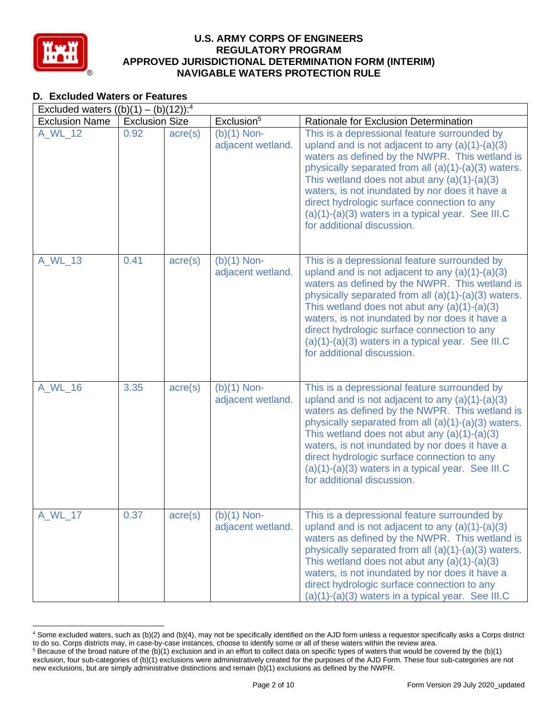

### **D. Excluded Waters or Features**

|                       | Excluded waters $((b)(1) - (b)(12))$ : <sup>4</sup> |                  |                                    |                                                                                                                                                                                                                                                                                                                                                                                                                                                    |  |  |
|-----------------------|-----------------------------------------------------|------------------|------------------------------------|----------------------------------------------------------------------------------------------------------------------------------------------------------------------------------------------------------------------------------------------------------------------------------------------------------------------------------------------------------------------------------------------------------------------------------------------------|--|--|
| <b>Exclusion Name</b> | <b>Exclusion Size</b>                               |                  | Exclusion <sup>5</sup>             | Rationale for Exclusion Determination                                                                                                                                                                                                                                                                                                                                                                                                              |  |  |
| A_WL_12               | 0.92                                                | $\text{acre}(s)$ | $(b)(1)$ Non-<br>adjacent wetland. | This is a depressional feature surrounded by<br>upland and is not adjacent to any $(a)(1)-(a)(3)$<br>waters as defined by the NWPR. This wetland is<br>physically separated from all (a)(1)-(a)(3) waters.<br>This wetland does not abut any $(a)(1)-(a)(3)$<br>waters, is not inundated by nor does it have a<br>direct hydrologic surface connection to any<br>(a)(1)-(a)(3) waters in a typical year. See III.C<br>for additional discussion.   |  |  |
| A_WL_13               | 0.41                                                | $\text{acre}(s)$ | $(b)(1)$ Non-<br>adjacent wetland. | This is a depressional feature surrounded by<br>upland and is not adjacent to any $(a)(1)-(a)(3)$<br>waters as defined by the NWPR. This wetland is<br>physically separated from all (a)(1)-(a)(3) waters.<br>This wetland does not abut any $(a)(1)-(a)(3)$<br>waters, is not inundated by nor does it have a<br>direct hydrologic surface connection to any<br>(a)(1)-(a)(3) waters in a typical year. See III.C<br>for additional discussion.   |  |  |
| A_WL_16               | 3.35                                                | $\text{acre}(s)$ | $(b)(1)$ Non-<br>adjacent wetland. | This is a depressional feature surrounded by<br>upland and is not adjacent to any $(a)(1)-(a)(3)$<br>waters as defined by the NWPR. This wetland is<br>physically separated from all (a)(1)-(a)(3) waters.<br>This wetland does not abut any $(a)(1)-(a)(3)$<br>waters, is not inundated by nor does it have a<br>direct hydrologic surface connection to any<br>$(a)(1)-(a)(3)$ waters in a typical year. See III.C<br>for additional discussion. |  |  |
| A_WL_17               | 0.37                                                | $\text{acre}(s)$ | $(b)(1)$ Non-<br>adjacent wetland. | This is a depressional feature surrounded by<br>upland and is not adjacent to any $(a)(1)-(a)(3)$<br>waters as defined by the NWPR. This wetland is<br>physically separated from all (a)(1)-(a)(3) waters.<br>This wetland does not abut any $(a)(1)-(a)(3)$<br>waters, is not inundated by nor does it have a<br>direct hydrologic surface connection to any<br>(a)(1)-(a)(3) waters in a typical year. See III.C                                 |  |  |

 4 Some excluded waters, such as (b)(2) and (b)(4), may not be specifically identified on the AJD form unless a requestor specifically asks a Corps district to do so. Corps districts may, in case-by-case instances, choose to identify some or all of these waters within the review area. to do so. Corps districts may, in case-by-case instances, choose to identify some or all of these waters within the review area.<br><sup>5</sup> Because of the broad nature of the (b)(1) exclusion and in an effort to collect data on s

 exclusion, four sub-categories of (b)(1) exclusions were administratively created for the purposes of the AJD Form. These four sub-categories are not new exclusions, but are simply administrative distinctions and remain (b)(1) exclusions as defined by the NWPR.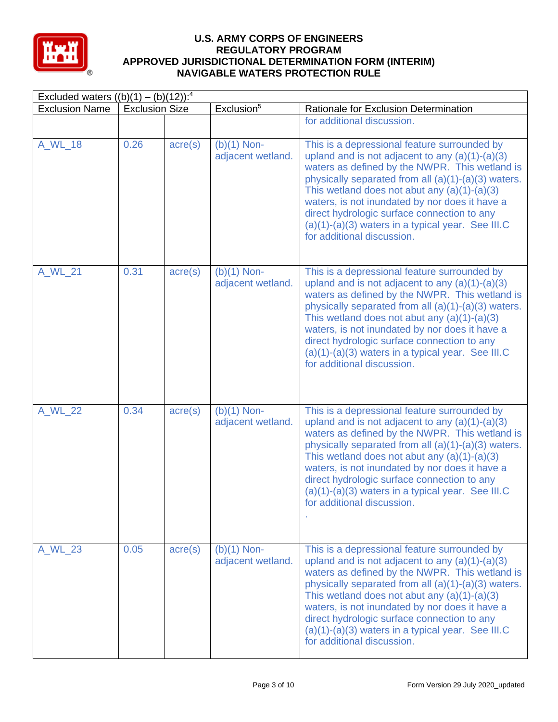

| Excluded waters $((b)(1) - (b)(12))$ : <sup>4</sup> |                       |                  |                                    |                                                                                                                                                                                                                                                                                                                                                                                                                                                    |  |
|-----------------------------------------------------|-----------------------|------------------|------------------------------------|----------------------------------------------------------------------------------------------------------------------------------------------------------------------------------------------------------------------------------------------------------------------------------------------------------------------------------------------------------------------------------------------------------------------------------------------------|--|
| <b>Exclusion Name</b>                               | <b>Exclusion Size</b> |                  | Exclusion <sup>5</sup>             | Rationale for Exclusion Determination                                                                                                                                                                                                                                                                                                                                                                                                              |  |
|                                                     |                       |                  |                                    | for additional discussion.                                                                                                                                                                                                                                                                                                                                                                                                                         |  |
| A_WL_18                                             | 0.26                  | $\text{acre}(s)$ | $(b)(1)$ Non-<br>adjacent wetland. | This is a depressional feature surrounded by<br>upland and is not adjacent to any $(a)(1)-(a)(3)$<br>waters as defined by the NWPR. This wetland is<br>physically separated from all (a)(1)-(a)(3) waters.<br>This wetland does not abut any $(a)(1)-(a)(3)$<br>waters, is not inundated by nor does it have a<br>direct hydrologic surface connection to any<br>$(a)(1)-(a)(3)$ waters in a typical year. See III.C<br>for additional discussion. |  |
| A WL 21                                             | 0.31                  | acre(s)          | $(b)(1)$ Non-<br>adjacent wetland. | This is a depressional feature surrounded by<br>upland and is not adjacent to any $(a)(1)-(a)(3)$<br>waters as defined by the NWPR. This wetland is<br>physically separated from all (a)(1)-(a)(3) waters.<br>This wetland does not abut any $(a)(1)-(a)(3)$<br>waters, is not inundated by nor does it have a<br>direct hydrologic surface connection to any<br>$(a)(1)-(a)(3)$ waters in a typical year. See III.C<br>for additional discussion. |  |
| A_WL_22                                             | 0.34                  | $\text{acre}(s)$ | $(b)(1)$ Non-<br>adjacent wetland. | This is a depressional feature surrounded by<br>upland and is not adjacent to any $(a)(1)-(a)(3)$<br>waters as defined by the NWPR. This wetland is<br>physically separated from all (a)(1)-(a)(3) waters.<br>This wetland does not abut any $(a)(1)-(a)(3)$<br>waters, is not inundated by nor does it have a<br>direct hydrologic surface connection to any<br>$(a)(1)-(a)(3)$ waters in a typical year. See III.C<br>for additional discussion. |  |
| A_WL_23                                             | 0.05                  | $\text{acre}(s)$ | $(b)(1)$ Non-<br>adjacent wetland. | This is a depressional feature surrounded by<br>upland and is not adjacent to any $(a)(1)-(a)(3)$<br>waters as defined by the NWPR. This wetland is<br>physically separated from all (a)(1)-(a)(3) waters.<br>This wetland does not abut any $(a)(1)-(a)(3)$<br>waters, is not inundated by nor does it have a<br>direct hydrologic surface connection to any<br>$(a)(1)-(a)(3)$ waters in a typical year. See III.C<br>for additional discussion. |  |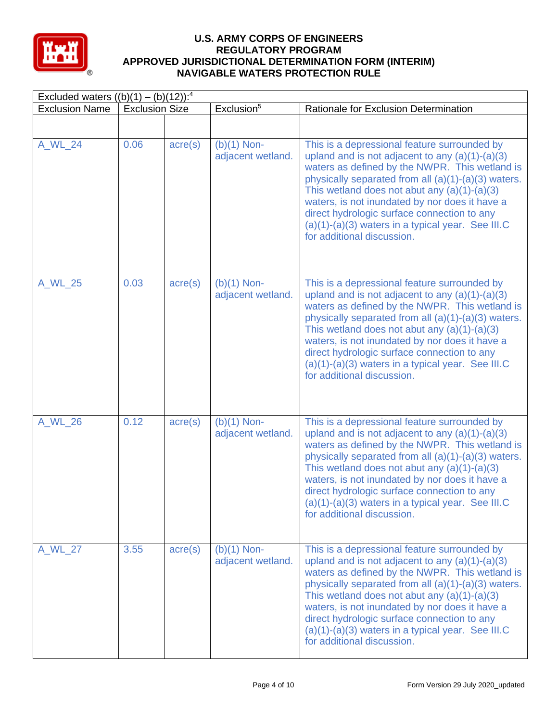

| Excluded waters $((b)(1) - (b)(12))$ : <sup>4</sup> |                       |                  |                                    |                                                                                                                                                                                                                                                                                                                                                                                                                                                    |  |  |
|-----------------------------------------------------|-----------------------|------------------|------------------------------------|----------------------------------------------------------------------------------------------------------------------------------------------------------------------------------------------------------------------------------------------------------------------------------------------------------------------------------------------------------------------------------------------------------------------------------------------------|--|--|
| <b>Exclusion Name</b>                               | <b>Exclusion Size</b> |                  | Exclusion <sup>5</sup>             | Rationale for Exclusion Determination                                                                                                                                                                                                                                                                                                                                                                                                              |  |  |
|                                                     |                       |                  |                                    |                                                                                                                                                                                                                                                                                                                                                                                                                                                    |  |  |
| A_WL_24                                             | 0.06                  | $\text{acre}(s)$ | $(b)(1)$ Non-<br>adjacent wetland. | This is a depressional feature surrounded by<br>upland and is not adjacent to any $(a)(1)-(a)(3)$<br>waters as defined by the NWPR. This wetland is<br>physically separated from all (a)(1)-(a)(3) waters.<br>This wetland does not abut any $(a)(1)-(a)(3)$<br>waters, is not inundated by nor does it have a<br>direct hydrologic surface connection to any<br>$(a)(1)-(a)(3)$ waters in a typical year. See III.C<br>for additional discussion. |  |  |
| A_WL_25                                             | 0.03                  | $\text{acre}(s)$ | $(b)(1)$ Non-<br>adjacent wetland. | This is a depressional feature surrounded by<br>upland and is not adjacent to any $(a)(1)-(a)(3)$<br>waters as defined by the NWPR. This wetland is<br>physically separated from all (a)(1)-(a)(3) waters.<br>This wetland does not abut any $(a)(1)-(a)(3)$<br>waters, is not inundated by nor does it have a<br>direct hydrologic surface connection to any<br>$(a)(1)-(a)(3)$ waters in a typical year. See III.C<br>for additional discussion. |  |  |
| A WL 26                                             | 0.12                  | $\text{acre}(s)$ | $(b)(1)$ Non-<br>adjacent wetland. | This is a depressional feature surrounded by<br>upland and is not adjacent to any $(a)(1)-(a)(3)$<br>waters as defined by the NWPR. This wetland is<br>physically separated from all (a)(1)-(a)(3) waters.<br>This wetland does not abut any $(a)(1)-(a)(3)$<br>waters, is not inundated by nor does it have a<br>direct hydrologic surface connection to any<br>(a)(1)-(a)(3) waters in a typical year. See III.C<br>for additional discussion.   |  |  |
| A_WL_27                                             | 3.55                  | $\text{acre}(s)$ | $(b)(1)$ Non-<br>adjacent wetland. | This is a depressional feature surrounded by<br>upland and is not adjacent to any $(a)(1)-(a)(3)$<br>waters as defined by the NWPR. This wetland is<br>physically separated from all (a)(1)-(a)(3) waters.<br>This wetland does not abut any $(a)(1)-(a)(3)$<br>waters, is not inundated by nor does it have a<br>direct hydrologic surface connection to any<br>$(a)(1)-(a)(3)$ waters in a typical year. See III.C<br>for additional discussion. |  |  |

-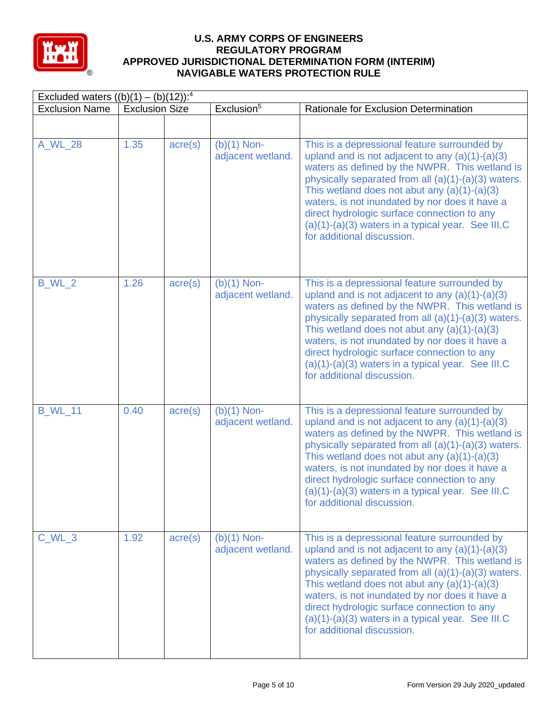

| Excluded waters $((b)(1) - (b)(12))$ : <sup>4</sup> |                       |                  |                                    |                                                                                                                                                                                                                                                                                                                                                                                                                                                    |  |  |
|-----------------------------------------------------|-----------------------|------------------|------------------------------------|----------------------------------------------------------------------------------------------------------------------------------------------------------------------------------------------------------------------------------------------------------------------------------------------------------------------------------------------------------------------------------------------------------------------------------------------------|--|--|
| <b>Exclusion Name</b>                               | <b>Exclusion Size</b> |                  | Exclusion <sup>5</sup>             | Rationale for Exclusion Determination                                                                                                                                                                                                                                                                                                                                                                                                              |  |  |
|                                                     |                       |                  |                                    |                                                                                                                                                                                                                                                                                                                                                                                                                                                    |  |  |
| A_WL_28                                             | 1.35                  | $\text{acre}(s)$ | $(b)(1)$ Non-<br>adjacent wetland. | This is a depressional feature surrounded by<br>upland and is not adjacent to any $(a)(1)-(a)(3)$<br>waters as defined by the NWPR. This wetland is<br>physically separated from all (a)(1)-(a)(3) waters.<br>This wetland does not abut any $(a)(1)-(a)(3)$<br>waters, is not inundated by nor does it have a<br>direct hydrologic surface connection to any<br>$(a)(1)-(a)(3)$ waters in a typical year. See III.C<br>for additional discussion. |  |  |
| <b>B_WL_2</b>                                       | 1.26                  | $\text{acre}(s)$ | $(b)(1)$ Non-<br>adjacent wetland. | This is a depressional feature surrounded by<br>upland and is not adjacent to any $(a)(1)-(a)(3)$<br>waters as defined by the NWPR. This wetland is<br>physically separated from all (a)(1)-(a)(3) waters.<br>This wetland does not abut any $(a)(1)-(a)(3)$<br>waters, is not inundated by nor does it have a<br>direct hydrologic surface connection to any<br>$(a)(1)-(a)(3)$ waters in a typical year. See III.C<br>for additional discussion. |  |  |
| <b>B_WL_11</b>                                      | 0.40                  | $\text{acre}(s)$ | $(b)(1)$ Non-<br>adjacent wetland. | This is a depressional feature surrounded by<br>upland and is not adjacent to any $(a)(1)-(a)(3)$<br>waters as defined by the NWPR. This wetland is<br>physically separated from all (a)(1)-(a)(3) waters.<br>This wetland does not abut any $(a)(1)-(a)(3)$<br>waters, is not inundated by nor does it have a<br>direct hydrologic surface connection to any<br>$(a)(1)-(a)(3)$ waters in a typical year. See III.C<br>for additional discussion. |  |  |
| $C$ <sub>_WL_3</sub>                                | 1.92                  | $\text{acre}(s)$ | $(b)(1)$ Non-<br>adjacent wetland. | This is a depressional feature surrounded by<br>upland and is not adjacent to any $(a)(1)-(a)(3)$<br>waters as defined by the NWPR. This wetland is<br>physically separated from all (a)(1)-(a)(3) waters.<br>This wetland does not abut any $(a)(1)-(a)(3)$<br>waters, is not inundated by nor does it have a<br>direct hydrologic surface connection to any<br>$(a)(1)-(a)(3)$ waters in a typical year. See III.C<br>for additional discussion. |  |  |

-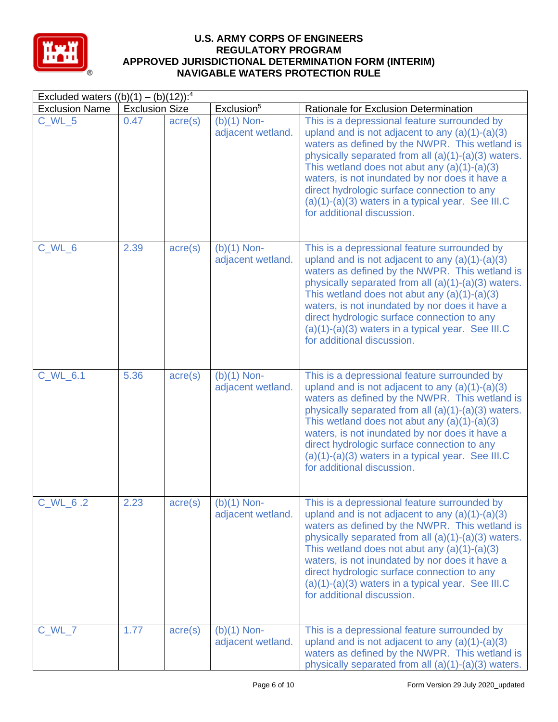

| Excluded waters $((b)(1) - (b)(12))$ : <sup>4</sup> |                       |                  |                                    |                                                                                                                                                                                                                                                                                                                                                                                                                                                    |  |  |
|-----------------------------------------------------|-----------------------|------------------|------------------------------------|----------------------------------------------------------------------------------------------------------------------------------------------------------------------------------------------------------------------------------------------------------------------------------------------------------------------------------------------------------------------------------------------------------------------------------------------------|--|--|
| <b>Exclusion Name</b>                               | <b>Exclusion Size</b> |                  | Exclusion $\overline{5}$           | Rationale for Exclusion Determination                                                                                                                                                                                                                                                                                                                                                                                                              |  |  |
| $C$ WL $5$                                          | 0.47                  | $\text{acre}(s)$ | $(b)(1)$ Non-<br>adjacent wetland. | This is a depressional feature surrounded by<br>upland and is not adjacent to any $(a)(1)-(a)(3)$<br>waters as defined by the NWPR. This wetland is<br>physically separated from all (a)(1)-(a)(3) waters.<br>This wetland does not abut any $(a)(1)-(a)(3)$<br>waters, is not inundated by nor does it have a<br>direct hydrologic surface connection to any<br>(a)(1)-(a)(3) waters in a typical year. See III.C<br>for additional discussion.   |  |  |
| C_WL_6                                              | 2.39                  | $\text{acre}(s)$ | $(b)(1)$ Non-<br>adjacent wetland. | This is a depressional feature surrounded by<br>upland and is not adjacent to any $(a)(1)-(a)(3)$<br>waters as defined by the NWPR. This wetland is<br>physically separated from all (a)(1)-(a)(3) waters.<br>This wetland does not abut any $(a)(1)-(a)(3)$<br>waters, is not inundated by nor does it have a<br>direct hydrologic surface connection to any<br>$(a)(1)-(a)(3)$ waters in a typical year. See III.C<br>for additional discussion. |  |  |
| C_WL_6.1                                            | 5.36                  | $\text{acre}(s)$ | $(b)(1)$ Non-<br>adjacent wetland. | This is a depressional feature surrounded by<br>upland and is not adjacent to any $(a)(1)-(a)(3)$<br>waters as defined by the NWPR. This wetland is<br>physically separated from all (a)(1)-(a)(3) waters.<br>This wetland does not abut any $(a)(1)-(a)(3)$<br>waters, is not inundated by nor does it have a<br>direct hydrologic surface connection to any<br>$(a)(1)-(a)(3)$ waters in a typical year. See III.C<br>for additional discussion. |  |  |
| C_WL_6.2                                            | 2.23                  | $\text{acre}(s)$ | $(b)(1)$ Non-<br>adjacent wetland. | This is a depressional feature surrounded by<br>upland and is not adjacent to any $(a)(1)-(a)(3)$<br>waters as defined by the NWPR. This wetland is<br>physically separated from all (a)(1)-(a)(3) waters.<br>This wetland does not abut any $(a)(1)-(a)(3)$<br>waters, is not inundated by nor does it have a<br>direct hydrologic surface connection to any<br>$(a)(1)-(a)(3)$ waters in a typical year. See III.C<br>for additional discussion. |  |  |
| C_WL_7                                              | 1.77                  | $\text{acre}(s)$ | $(b)(1)$ Non-<br>adjacent wetland. | This is a depressional feature surrounded by<br>upland and is not adjacent to any $(a)(1)-(a)(3)$<br>waters as defined by the NWPR. This wetland is<br>physically separated from all (a)(1)-(a)(3) waters.                                                                                                                                                                                                                                         |  |  |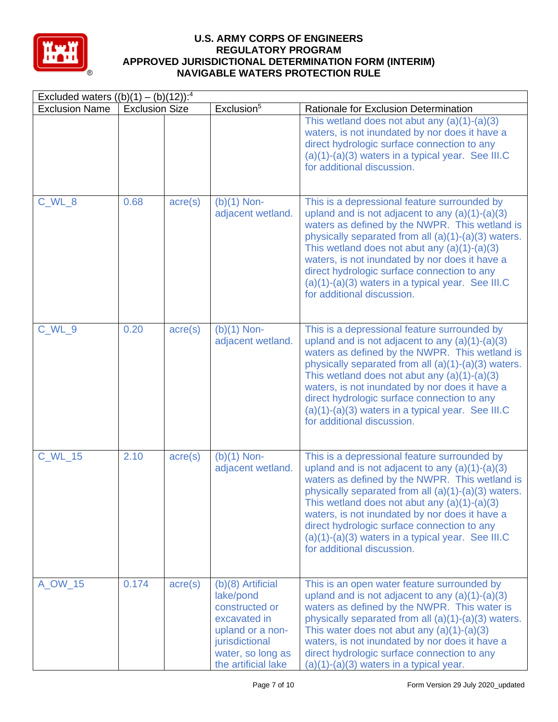

|                       | Excluded waters $((b)(1) - (b)(12))$ : <sup>4</sup> |                  |                                                                                                                                                    |                                                                                                                                                                                                                                                                                                                                                                                                                                                    |  |  |  |
|-----------------------|-----------------------------------------------------|------------------|----------------------------------------------------------------------------------------------------------------------------------------------------|----------------------------------------------------------------------------------------------------------------------------------------------------------------------------------------------------------------------------------------------------------------------------------------------------------------------------------------------------------------------------------------------------------------------------------------------------|--|--|--|
| <b>Exclusion Name</b> | <b>Exclusion Size</b>                               |                  | Exclusion <sup>5</sup>                                                                                                                             | Rationale for Exclusion Determination                                                                                                                                                                                                                                                                                                                                                                                                              |  |  |  |
|                       |                                                     |                  |                                                                                                                                                    | This wetland does not abut any $(a)(1)-(a)(3)$<br>waters, is not inundated by nor does it have a<br>direct hydrologic surface connection to any<br>$(a)(1)-(a)(3)$ waters in a typical year. See III.C<br>for additional discussion.                                                                                                                                                                                                               |  |  |  |
| C_WL_8                | 0.68                                                | $\text{acre}(s)$ | $(b)(1)$ Non-<br>adjacent wetland.                                                                                                                 | This is a depressional feature surrounded by<br>upland and is not adjacent to any $(a)(1)-(a)(3)$<br>waters as defined by the NWPR. This wetland is<br>physically separated from all (a)(1)-(a)(3) waters.<br>This wetland does not abut any $(a)(1)-(a)(3)$<br>waters, is not inundated by nor does it have a<br>direct hydrologic surface connection to any<br>$(a)(1)-(a)(3)$ waters in a typical year. See III.C<br>for additional discussion. |  |  |  |
| C_WL_9                | 0.20                                                | $\text{acre}(s)$ | $(b)(1)$ Non-<br>adjacent wetland.                                                                                                                 | This is a depressional feature surrounded by<br>upland and is not adjacent to any $(a)(1)-(a)(3)$<br>waters as defined by the NWPR. This wetland is<br>physically separated from all (a)(1)-(a)(3) waters.<br>This wetland does not abut any $(a)(1)-(a)(3)$<br>waters, is not inundated by nor does it have a<br>direct hydrologic surface connection to any<br>$(a)(1)-(a)(3)$ waters in a typical year. See III.C<br>for additional discussion. |  |  |  |
| <b>C_WL_15</b>        | 2.10                                                | $\text{acre}(s)$ | $(b)(1)$ Non-<br>adjacent wetland.                                                                                                                 | This is a depressional feature surrounded by<br>upland and is not adjacent to any $(a)(1)-(a)(3)$<br>waters as defined by the NWPR. This wetland is<br>physically separated from all (a)(1)-(a)(3) waters.<br>This wetland does not abut any $(a)(1)-(a)(3)$<br>waters, is not inundated by nor does it have a<br>direct hydrologic surface connection to any<br>$(a)(1)-(a)(3)$ waters in a typical year. See III.C<br>for additional discussion. |  |  |  |
| A_OW_15               | 0.174                                               | $\text{acre}(s)$ | (b)(8) Artificial<br>lake/pond<br>constructed or<br>excavated in<br>upland or a non-<br>jurisdictional<br>water, so long as<br>the artificial lake | This is an open water feature surrounded by<br>upland and is not adjacent to any $(a)(1)-(a)(3)$<br>waters as defined by the NWPR. This water is<br>physically separated from all (a)(1)-(a)(3) waters.<br>This water does not abut any $(a)(1)-(a)(3)$<br>waters, is not inundated by nor does it have a<br>direct hydrologic surface connection to any<br>$(a)(1)-(a)(3)$ waters in a typical year.                                              |  |  |  |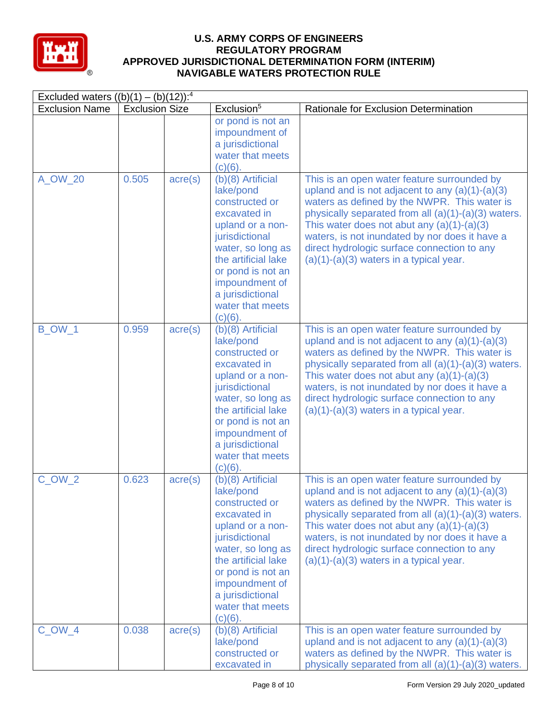

| Excluded waters $((b)(1) - (b)(12))$ : <sup>4</sup> |                       |                  |                                                                                                                                                                                                                                                   |                                                                                                                                                                                                                                                                                                                                                                                                       |  |  |  |
|-----------------------------------------------------|-----------------------|------------------|---------------------------------------------------------------------------------------------------------------------------------------------------------------------------------------------------------------------------------------------------|-------------------------------------------------------------------------------------------------------------------------------------------------------------------------------------------------------------------------------------------------------------------------------------------------------------------------------------------------------------------------------------------------------|--|--|--|
| <b>Exclusion Name</b>                               | <b>Exclusion Size</b> |                  | Exclusion <sup>5</sup>                                                                                                                                                                                                                            | Rationale for Exclusion Determination                                                                                                                                                                                                                                                                                                                                                                 |  |  |  |
|                                                     |                       |                  | or pond is not an<br>impoundment of<br>a jurisdictional<br>water that meets<br>$(c)(6)$ .                                                                                                                                                         |                                                                                                                                                                                                                                                                                                                                                                                                       |  |  |  |
| A_OW_20                                             | 0.505                 | $\text{acre}(s)$ | $(b)(8)$ Artificial<br>lake/pond<br>constructed or<br>excavated in<br>upland or a non-<br>jurisdictional<br>water, so long as<br>the artificial lake<br>or pond is not an<br>impoundment of<br>a jurisdictional<br>water that meets<br>$(c)(6)$ . | This is an open water feature surrounded by<br>upland and is not adjacent to any $(a)(1)-(a)(3)$<br>waters as defined by the NWPR. This water is<br>physically separated from all (a)(1)-(a)(3) waters.<br>This water does not abut any $(a)(1)-(a)(3)$<br>waters, is not inundated by nor does it have a<br>direct hydrologic surface connection to any<br>$(a)(1)-(a)(3)$ waters in a typical year. |  |  |  |
| <b>B_OW_1</b>                                       | 0.959                 | $\text{acre}(s)$ | (b)(8) Artificial<br>lake/pond<br>constructed or<br>excavated in<br>upland or a non-<br>jurisdictional<br>water, so long as<br>the artificial lake<br>or pond is not an<br>impoundment of<br>a jurisdictional<br>water that meets<br>$(c)(6)$ .   | This is an open water feature surrounded by<br>upland and is not adjacent to any $(a)(1)-(a)(3)$<br>waters as defined by the NWPR. This water is<br>physically separated from all (a)(1)-(a)(3) waters.<br>This water does not abut any $(a)(1)-(a)(3)$<br>waters, is not inundated by nor does it have a<br>direct hydrologic surface connection to any<br>$(a)(1)-(a)(3)$ waters in a typical year. |  |  |  |
| <b>C_OW_2</b>                                       | 0.623                 | $\text{acre}(s)$ | (b)(8) Artificial<br>lake/pond<br>constructed or<br>excavated in<br>upland or a non-<br>jurisdictional<br>water, so long as<br>the artificial lake<br>or pond is not an<br>impoundment of<br>a jurisdictional<br>water that meets<br>$(c)(6)$ .   | This is an open water feature surrounded by<br>upland and is not adjacent to any $(a)(1)-(a)(3)$<br>waters as defined by the NWPR. This water is<br>physically separated from all (a)(1)-(a)(3) waters.<br>This water does not abut any $(a)(1)-(a)(3)$<br>waters, is not inundated by nor does it have a<br>direct hydrologic surface connection to any<br>$(a)(1)-(a)(3)$ waters in a typical year. |  |  |  |
| $C_OW_4$                                            | 0.038                 | $\text{acre}(s)$ | (b)(8) Artificial<br>lake/pond<br>constructed or<br>excavated in                                                                                                                                                                                  | This is an open water feature surrounded by<br>upland and is not adjacent to any $(a)(1)-(a)(3)$<br>waters as defined by the NWPR. This water is<br>physically separated from all (a)(1)-(a)(3) waters.                                                                                                                                                                                               |  |  |  |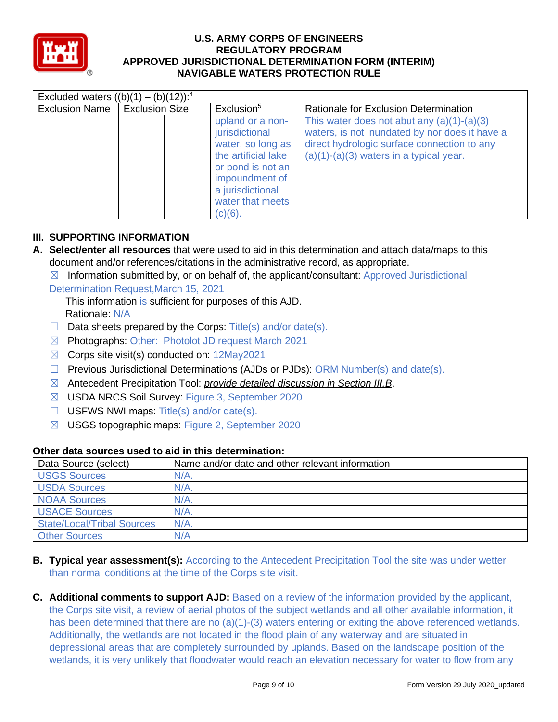

| Excluded waters $((b)(1) - (b)(12))$ : <sup>4</sup> |                       |  |                                                                                                                                                                             |                                                                                                                                                                                            |
|-----------------------------------------------------|-----------------------|--|-----------------------------------------------------------------------------------------------------------------------------------------------------------------------------|--------------------------------------------------------------------------------------------------------------------------------------------------------------------------------------------|
| <b>Exclusion Name</b>                               | <b>Exclusion Size</b> |  | Exclusion <sup>5</sup>                                                                                                                                                      | Rationale for Exclusion Determination                                                                                                                                                      |
|                                                     |                       |  | upland or a non-<br>jurisdictional<br>water, so long as<br>the artificial lake<br>or pond is not an<br>impoundment of<br>a jurisdictional<br>water that meets<br>$(c)(6)$ . | This water does not abut any $(a)(1)-(a)(3)$<br>waters, is not inundated by nor does it have a<br>direct hydrologic surface connection to any<br>$(a)(1)-(a)(3)$ waters in a typical year. |

### **III. SUPPORTING INFORMATION**

- **A. Select/enter all resources** that were used to aid in this determination and attach data/maps to this document and/or references/citations in the administrative record, as appropriate.
	- $\boxtimes$  Information submitted by, or on behalf of, the applicant/consultant: Approved Jurisdictional

Determination Request, March 15, 2021

 Rationale: N/A This information is sufficient for purposes of this AJD.

- $\Box$  Data sheets prepared by the Corps: Title(s) and/or date(s).
- ☒ Photographs: Other: Photolot JD request March 2021
- ☒ Corps site visit(s) conducted on: 12May2021
- ☐ Previous Jurisdictional Determinations (AJDs or PJDs): ORM Number(s) and date(s).
- ☒ Antecedent Precipitation Tool: *provide detailed discussion in Section III.B*.
- ☒ USDA NRCS Soil Survey: Figure 3, September 2020
- $\Box$  USFWS NWI maps: Title(s) and/or date(s).
- ☒ USGS topographic maps: Figure 2, September 2020

| Data Source (select)              | Name and/or date and other relevant information |
|-----------------------------------|-------------------------------------------------|
| <b>USGS Sources</b>               | $N/A$ .                                         |
| <b>USDA Sources</b>               | $N/A$ .                                         |
| <b>NOAA Sources</b>               | N/A                                             |
| <b>USACE Sources</b>              | $N/A$ .                                         |
| <b>State/Local/Tribal Sources</b> | $N/A$ .                                         |
| <b>Other Sources</b>              | N/A                                             |

### **Other data sources used to aid in this determination:**

- than normal conditions at the time of the Corps site visit. **B. Typical year assessment(s):** According to the Antecedent Precipitation Tool the site was under wetter
- has been determined that there are no  $(a)(1)$ -(3) waters entering or exiting the above referenced wetlands. wetlands, it is very unlikely that floodwater would reach an elevation necessary for water to flow from any **C. Additional comments to support AJD:** Based on a review of the information provided by the applicant, the Corps site visit, a review of aerial photos of the subject wetlands and all other available information, it Additionally, the wetlands are not located in the flood plain of any waterway and are situated in depressional areas that are completely surrounded by uplands. Based on the landscape position of the